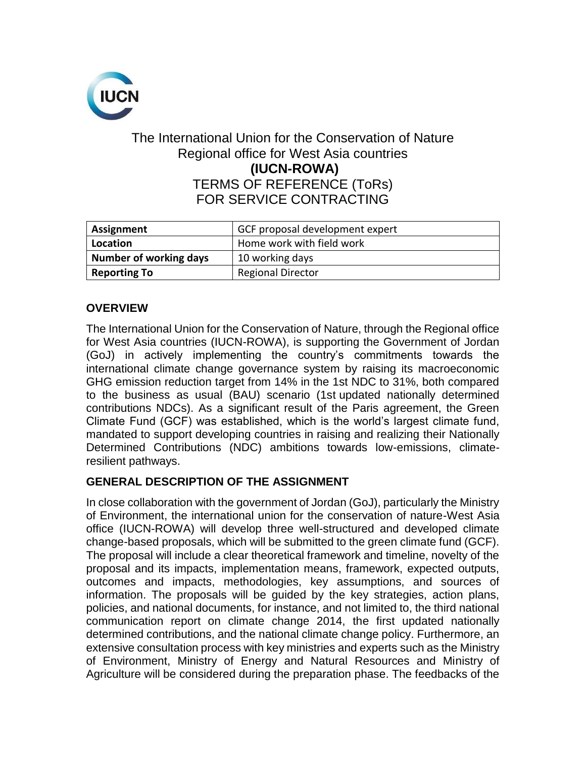

## The International Union for the Conservation of Nature Regional office for West Asia countries **(IUCN-ROWA)** TERMS OF REFERENCE (ToRs) FOR SERVICE CONTRACTING

| Assignment             | GCF proposal development expert |
|------------------------|---------------------------------|
| Location               | Home work with field work       |
| Number of working days | 10 working days                 |
| <b>Reporting To</b>    | <b>Regional Director</b>        |

## **OVERVIEW**

The International Union for the Conservation of Nature, through the Regional office for West Asia countries (IUCN-ROWA), is supporting the Government of Jordan (GoJ) in actively implementing the country's commitments towards the international climate change governance system by raising its macroeconomic GHG emission reduction target from 14% in the 1st NDC to 31%, both compared to the business as usual (BAU) scenario (1st updated nationally determined contributions NDCs). As a significant result of the Paris agreement, the Green Climate Fund (GCF) was established, which is the world's largest climate fund, mandated to support developing countries in raising and realizing their Nationally Determined Contributions (NDC) ambitions towards low-emissions, climateresilient pathways.

## **GENERAL DESCRIPTION OF THE ASSIGNMENT**

In close collaboration with the government of Jordan (GoJ), particularly the Ministry of Environment, the international union for the conservation of nature-West Asia office (IUCN-ROWA) will develop three well-structured and developed climate change-based proposals, which will be submitted to the green climate fund (GCF). The proposal will include a clear theoretical framework and timeline, novelty of the proposal and its impacts, implementation means, framework, expected outputs, outcomes and impacts, methodologies, key assumptions, and sources of information. The proposals will be guided by the key strategies, action plans, policies, and national documents, for instance, and not limited to, the third national communication report on climate change 2014, the first updated nationally determined contributions, and the national climate change policy. Furthermore, an extensive consultation process with key ministries and experts such as the Ministry of Environment, Ministry of Energy and Natural Resources and Ministry of Agriculture will be considered during the preparation phase. The feedbacks of the